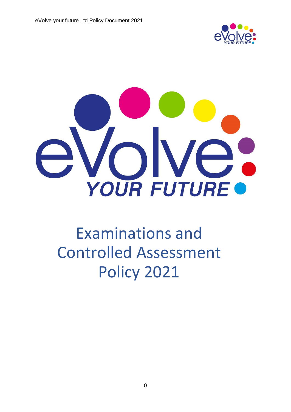



# Examinations and Controlled Assessment Policy 2021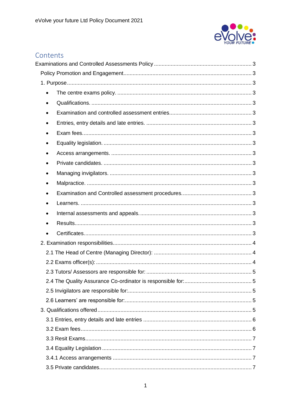

# Contents

| $\bullet$ |  |
|-----------|--|
|           |  |
| $\bullet$ |  |
|           |  |
|           |  |
| $\bullet$ |  |
|           |  |
| $\bullet$ |  |
| ٠         |  |
| $\bullet$ |  |
|           |  |
|           |  |
| ٠         |  |
|           |  |
|           |  |
|           |  |
|           |  |
|           |  |
|           |  |
|           |  |
|           |  |
|           |  |
|           |  |
|           |  |
|           |  |
|           |  |
|           |  |
|           |  |
|           |  |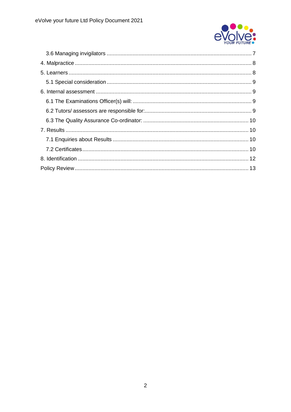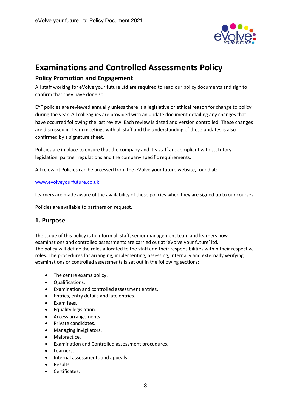

# <span id="page-3-0"></span>**Examinations and Controlled Assessments Policy**

## <span id="page-3-1"></span>**Policy Promotion and Engagement**

All staff working for eVolve your future Ltd are required to read our policy documents and sign to confirm that they have done so.

EYF policies are reviewed annually unless there is a legislative or ethical reason for change to policy during the year. All colleagues are provided with an update document detailing any changes that have occurred following the last review. Each review is dated and version controlled. These changes are discussed in Team meetings with all staff and the understanding of these updates is also confirmed by a signature sheet.

Policies are in place to ensure that the company and it's staff are compliant with statutory legislation, partner regulations and the company specific requirements.

All relevant Policies can be accessed from the eVolve your future website, found at:

#### [www.evolveyourfuture.co.uk](http://www.evolveyourfuture.co.uk/)

Learners are made aware of the availability of these policies when they are signed up to our courses.

Policies are available to partners on request.

#### <span id="page-3-2"></span>**1. Purpose**

The scope of this policy is to inform all staff, senior management team and learners how examinations and controlled assessments are carried out at 'eVolve your future' ltd. The policy will define the roles allocated to the staff and their responsibilities within their respective roles. The procedures for arranging, implementing, assessing, internally and externally verifying examinations or controlled assessments is set out in the following sections:

- <span id="page-3-3"></span>• The centre exams policy.
- <span id="page-3-4"></span>• Qualifications.
- <span id="page-3-5"></span>• Examination and controlled assessment entries.
- <span id="page-3-6"></span>• Entries, entry details and late entries.
- <span id="page-3-7"></span>• Exam fees.
- <span id="page-3-8"></span>• Equality legislation.
- <span id="page-3-9"></span>• Access arrangements.
- <span id="page-3-10"></span>• Private candidates.
- <span id="page-3-11"></span>• Managing invigilators.
- <span id="page-3-12"></span>Malpractice.
- <span id="page-3-13"></span>• Examination and Controlled assessment procedures.
- <span id="page-3-14"></span>Learners.
- <span id="page-3-15"></span>• Internal assessments and appeals.
- <span id="page-3-16"></span>• Results.
- <span id="page-3-17"></span>• Certificates.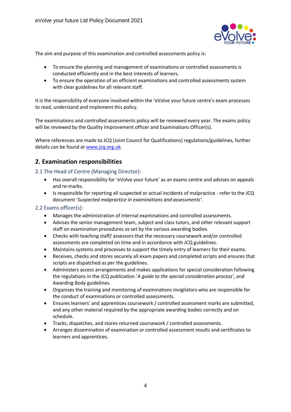

The aim and purpose of this examination and controlled assessments policy is:

- To ensure the planning and management of examinations or controlled assessments is conducted efficiently and in the best interests of learners.
- To ensure the operation of an efficient examinations and controlled assessments system with clear guidelines for all relevant staff.

It is the responsibility of everyone involved within the 'eVolve your future centre's exam processes to read, understand and implement this policy.

The examinations and controlled assessments policy will be reviewed every year. The exams policy will be reviewed by the Quality Improvement officer and Examinations Officer(s).

Where references are made to JCQ (Joint Council for Qualifications) regulations/guidelines, further details can be found at [www.jcq.org.uk.](http://www.jcq.org.uk/)

# <span id="page-4-0"></span>**2. Examination responsibilities**

<span id="page-4-1"></span>2.1 The Head of Centre (Managing Director):

- Has overall responsibility for 'eVolve your future' as an exams centre and advises on appeals and re-marks.
- Is responsible for reporting all suspected or actual incidents of malpractice refer to the JCQ document '*Suspected malpractice in examinations and assessments'*.

#### <span id="page-4-2"></span>2.2 Exams officer(s):

- Manages the administration of internal examinations and controlled assessments.
- Advises the senior management team, subject and class tutors, and other relevant support staff on examination procedures as set by the various awarding bodies.
- Checks with teaching staff/ assessors that the necessary coursework and/or controlled assessments are completed on time and in accordance with JCQ guidelines.
- Maintains systems and processes to support the timely entry of learners for their exams.
- Receives, checks and stores securely all exam papers and completed scripts and ensures that scripts are dispatched as per the guidelines.
- Administers access arrangements and makes applications for special consideration following the regulations in the JCQ publication '*A guide to the special consideration process'*, and Awarding Body guidelines.
- Organises the training and monitoring of examinations invigilators who are responsible for the conduct of examinations or controlled assessments.
- Ensures learners' and apprentices coursework / controlled assessment marks are submitted, and any other material required by the appropriate awarding bodies correctly and on schedule.
- Tracks, dispatches, and stores returned coursework / controlled assessments.
- Arranges dissemination of examination or controlled assessment results and certificates to learners and apprentices.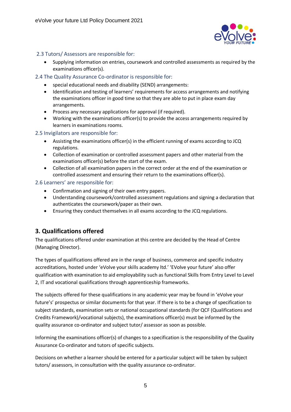

#### <span id="page-5-0"></span>2.3 Tutors/ Assessors are responsible for:

• Supplying information on entries, coursework and controlled assessments as required by the examinations officer(s).

#### <span id="page-5-1"></span>2.4 The Quality Assurance Co-ordinator is responsible for:

- special educational needs and disability (SEND) arrangements:
- Identification and testing of learners' requirements for access arrangements and notifying the examinations officer in good time so that they are able to put in place exam day arrangements.
- Process any necessary applications for approval (if required).
- Working with the examinations officer(s) to provide the access arrangements required by learners in examinations rooms.

#### <span id="page-5-2"></span>2.5 Invigilators are responsible for:

- Assisting the examinations officer(s) in the efficient running of exams according to JCQ regulations.
- Collection of examination or controlled assessment papers and other material from the examinations officer(s) before the start of the exam.
- Collection of all examination papers in the correct order at the end of the examination or controlled assessment and ensuring their return to the examinations officer(s).

#### <span id="page-5-3"></span>2.6 Learners' are responsible for:

- Confirmation and signing of their own entry papers.
- Understanding coursework/controlled assessment regulations and signing a declaration that authenticates the coursework/paper as their own.
- Ensuring they conduct themselves in all exams according to the JCQ regulations.

# <span id="page-5-4"></span>**3. Qualifications offered**

The qualifications offered under examination at this centre are decided by the Head of Centre (Managing Director).

The types of qualifications offered are in the range of business, commerce and specific industry accreditations, hosted under 'eVolve your skills academy ltd.' 'EVolve your future' also offer qualification with examination to aid employability such as functional Skills from Entry Level to Level 2, IT and vocational qualifications through apprenticeship frameworks.

The subjects offered for these qualifications in any academic year may be found in 'eVolve your future's' prospectus or similar documents for that year. If there is to be a change of specification to subject standards, examination sets or national occupational standards (for QCF (Qualifications and Credits Framework)/vocational subjects), the examinations officer(s) must be informed by the quality assurance co-ordinator and subject tutor/ assessor as soon as possible.

Informing the examinations officer(s) of changes to a specification is the responsibility of the Quality Assurance Co-ordinator and tutors of specific subjects.

Decisions on whether a learner should be entered for a particular subject will be taken by subject tutors/ assessors, in consultation with the quality assurance co-ordinator.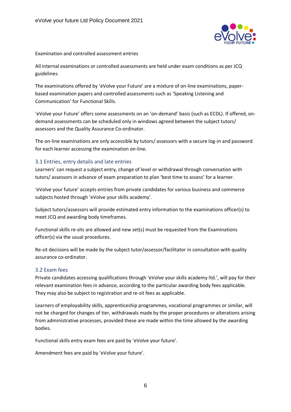

#### Examination and controlled assessment entries

All internal examinations or controlled assessments are held under exam conditions as per JCQ guidelines.

The examinations offered by 'eVolve your Future' are a mixture of on-line examinations, paperbased examination papers and controlled assessments such as 'Speaking Listening and Communication' for Functional Skills.

'eVolve your Future' offers some assessments on an 'on-demand' basis (such as ECDL). If offered, ondemand assessments can be scheduled only in windows agreed between the subject tutors/ assessors and the Quality Assurance Co-ordinator.

The on-line examinations are only accessible by tutors/ assessors with a secure log-in and password for each learner accessing the examination on-line.

#### <span id="page-6-0"></span>3.1 Entries, entry details and late entries

Learners' can request a subject entry, change of level or withdrawal through conversation with tutors/ assessors in advance of exam preparation to plan 'best time to assess' for a learner.

'eVolve your future' accepts entries from private candidates for various business and commerce subjects hosted through 'eVolve your skills academy'.

Subject tutors/assessors will provide estimated entry information to the examinations officer(s) to meet JCQ and awarding body timeframes.

Functional skills re-sits are allowed and new set(s) must be requested from the Examinations officer(s) via the usual procedures.

Re-sit decisions will be made by the subject tutor/assessor/facilitator in consultation with quality assurance co-ordinator.

#### <span id="page-6-1"></span>3.2 Exam fees

Private candidates accessing qualifications through 'eVolve your skills academy ltd.', will pay for their relevant examination fees in advance, according to the particular awarding body fees applicable. They may also be subject to registration and re-sit fees as applicable.

Learners of employability skills, apprenticeship programmes, vocational programmes or similar, will not be charged for changes of tier, withdrawals made by the proper procedures or alterations arising from administrative processes, provided these are made within the time allowed by the awarding bodies.

Functional skills entry exam fees are paid by 'eVolve your future'.

Amendment fees are paid by 'eVolve your future'.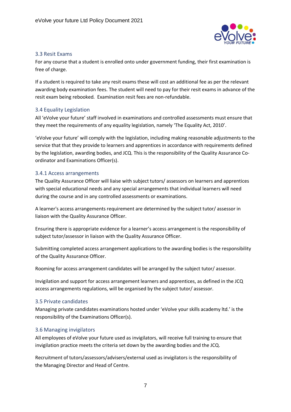

#### <span id="page-7-0"></span>3.3 Resit Exams

For any course that a student is enrolled onto under government funding, their first examination is free of charge.

If a student is required to take any resit exams these will cost an additional fee as per the relevant awarding body examination fees. The student will need to pay for their resit exams in advance of the resit exam being rebooked. Examination resit fees are non-refundable.

#### <span id="page-7-1"></span>3.4 Equality Legislation

All 'eVolve your future' staff involved in examinations and controlled assessments must ensure that they meet the requirements of any equality legislation, namely 'The Equality Act, 2010'.

'eVolve your future' will comply with the legislation, including making reasonable adjustments to the service that that they provide to learners and apprentices in accordance with requirements defined by the legislation, awarding bodies, and JCQ. This is the responsibility of the Quality Assurance Coordinator and Examinations Officer(s).

#### <span id="page-7-2"></span>3.4.1 Access arrangements

The Quality Assurance Officer will liaise with subject tutors/ assessors on learners and apprentices with special educational needs and any special arrangements that individual learners will need during the course and in any controlled assessments or examinations.

A learner's access arrangements requirement are determined by the subject tutor/ assessor in liaison with the Quality Assurance Officer.

Ensuring there is appropriate evidence for a learner's access arrangement is the responsibility of subject tutor/assessor in liaison with the Quality Assurance Officer.

Submitting completed access arrangement applications to the awarding bodies is the responsibility of the Quality Assurance Officer.

Rooming for access arrangement candidates will be arranged by the subject tutor/ assessor.

Invigilation and support for access arrangement learners and apprentices, as defined in the JCQ access arrangements regulations, will be organised by the subject tutor/ assessor.

#### <span id="page-7-3"></span>3.5 Private candidates

Managing private candidates examinations hosted under 'eVolve your skills academy ltd.' is the responsibility of the Examinations Officer(s).

#### <span id="page-7-4"></span>3.6 Managing invigilators

All employees of eVolve your future used as invigilators, will receive full training to ensure that invigilation practice meets the criteria set down by the awarding bodies and the JCQ.

Recruitment of tutors/assessors/advisers/external used as invigilators is the responsibility of the Managing Director and Head of Centre.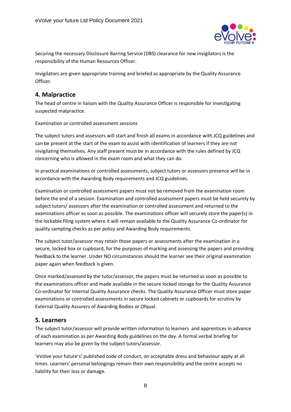

Securing the necessary Disclosure Barring Service (DBS) clearance for new invigilators is the responsibility of the Human Resources Officer.

Invigilators are given appropriate training and briefed as appropriate by the Quality Assurance Officer.

### <span id="page-8-0"></span>**4. Malpractice**

The head of centre in liaison with the Quality Assurance Officer is responsible for investigating suspected malpractice.

Examination or controlled assessment sessions

The subject tutors and assessors will start and finish all exams in accordance with JCQ guidelines and can be present at the start of the exam to assist with identification of learners if they are not invigilating themselves. Any staff present must be in accordance with the rules defined by JCQ concerning who is allowed in the exam room and what they can do.

In practical examinations or controlled assessments, subject tutors or assessors presence will be in accordance with the Awarding Body requirements and JCQ guidelines.

Examination or controlled assessment papers must not be removed from the examination room before the end of a session. Examination and controlled assessment papers must be held securely by subject tutors/ assessors after the examination or controlled assessment and returned to the examinations officer as soon as possible. The examinations officer will securely store the paper(s) in the lockable filing system where it will remain available to the Quality Assurance Co-ordinator for quality sampling checks as per policy and Awarding Body requirements.

The subject tutor/assessor may retain those papers or assessments after the examination in a secure, locked box or cupboard, for the purposes of marking and assessing the papers and providing feedback to the learner. Under NO circumstances should the learner see their original examination paper again when feedback is given.

Once marked/assessed by the tutor/assessor, the papers must be returned as soon as possible to the examinations officer and made available in the secure locked storage for the Quality Assurance Co-ordinator for Internal Quality Assurance checks. The Quality Assurance Officer must store paper examinations or controlled assessments in secure locked cabinets or cupboards for scrutiny by External Quality Assurers of Awarding Bodies or Ofqual.

# <span id="page-8-1"></span>**5. Learners**

The subject tutor/assessor will provide written information to learners and apprentices in advance of each examination as per Awarding Body guidelines on the day. A formal verbal briefing for learners may also be given by the subject tutors/assessor.

'eVolve your future's' published code of conduct, on acceptable dress and behaviour apply at all times. Learners' personal belongings remain their own responsibility and the centre accepts no liability for their loss or damage.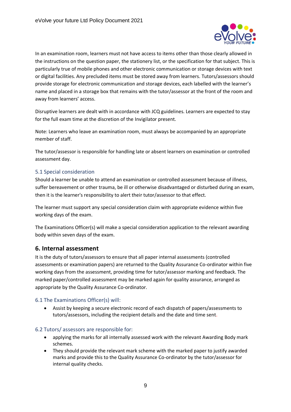

In an examination room, learners must not have access to items other than those clearly allowed in the instructions on the question paper, the stationery list, or the specification for that subject. This is particularly true of mobile phones and other electronic communication or storage devices with text or digital facilities. Any precluded items must be stored away from learners. Tutors/assessors should provide storage for electronic communication and storage devices, each labelled with the learner's name and placed in a storage box that remains with the tutor/assessor at the front of the room and away from learners' access.

Disruptive learners are dealt with in accordance with JCQ guidelines. Learners are expected to stay for the full exam time at the discretion of the Invigilator present.

Note: Learners who leave an examination room, must always be accompanied by an appropriate member of staff.

The tutor/assessor is responsible for handling late or absent learners on examination or controlled assessment day.

#### <span id="page-9-0"></span>5.1 Special consideration

Should a learner be unable to attend an examination or controlled assessment because of illness, suffer bereavement or other trauma, be ill or otherwise disadvantaged or disturbed during an exam, then it is the learner's responsibility to alert their tutor/assessor to that effect.

The learner must support any special consideration claim with appropriate evidence within five working days of the exam.

The Examinations Officer(s) will make a special consideration application to the relevant awarding body within seven days of the exam.

#### <span id="page-9-1"></span>**6. Internal assessment**

It is the duty of tutors/assessors to ensure that all paper internal assessments (controlled assessments or examination papers) are returned to the Quality Assurance Co-ordinator within five working days from the assessment, providing time for tutor/assessor marking and feedback. The marked paper/controlled assessment may be marked again for quality assurance, arranged as appropriate by the Quality Assurance Co-ordinator.

#### <span id="page-9-2"></span>6.1 The Examinations Officer(s) will:

• Assist by keeping a secure electronic record of each dispatch of papers/assessments to tutors/assessors, including the recipient details and the date and time sent.

#### <span id="page-9-3"></span>6.2 Tutors/ assessors are responsible for:

- applying the marks for all internally assessed work with the relevant Awarding Body mark schemes.
- They should provide the relevant mark scheme with the marked paper to justify awarded marks and provide this to the Quality Assurance Co-ordinator by the tutor/assessor for internal quality checks.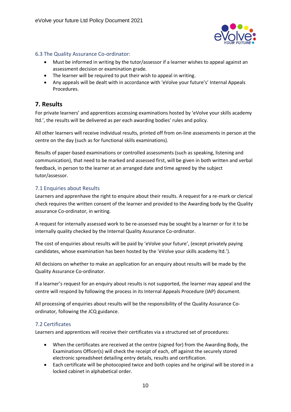

#### <span id="page-10-0"></span>6.3 The Quality Assurance Co-ordinator:

- Must be informed in writing by the tutor/assessor if a learner wishes to appeal against an assessment decision or examination grade.
- The learner will be required to put their wish to appeal in writing.
- Any appeals will be dealt with in accordance with 'eVolve your future's' Internal Appeals Procedures.

# <span id="page-10-1"></span>**7. Results**

For private learners' and apprentices accessing examinations hosted by 'eVolve your skills academy ltd.', the results will be delivered as per each awarding bodies' rules and policy.

All other learners will receive individual results, printed off from on-line assessments in person at the centre on the day (such as for functional skills examinations).

Results of paper-based examinations or controlled assessments (such as speaking, listening and communication), that need to be marked and assessed first, will be given in both written and verbal feedback, in person to the learner at an arranged date and time agreed by the subject tutor/assessor.

#### <span id="page-10-2"></span>7.1 Enquiries about Results

Learners and apprenhave the right to enquire about their results. A request for a re-mark or clerical check requires the written consent of the learner and provided to the Awarding body by the Quality assurance Co-ordinator, in writing.

A request for internally assessed work to be re-assessed may be sought by a learner or for it to be internally quality checked by the Internal Quality Assurance Co-ordinator.

The cost of enquiries about results will be paid by 'eVolve your future', (except privately paying candidates, whose examination has been hosted by the 'eVolve your skills academy ltd.').

All decisions on whether to make an application for an enquiry about results will be made by the Quality Assurance Co-ordinator.

If a learner's request for an enquiry about results is not supported, the learner may appeal and the centre will respond by following the process in its Internal Appeals Procedure (IAP) document.

All processing of enquiries about results will be the responsibility of the Quality Assurance Coordinator*,* following the JCQ guidance.

#### <span id="page-10-3"></span>7.2 Certificates

Learners and apprentices will receive their certificates via a structured set of procedures:

- When the certificates are received at the centre (signed for) from the Awarding Body, the Examinations Officer(s) will check the receipt of each, off against the securely stored electronic spreadsheet detailing entry details, results and certification.
- Each certificate will be photocopied twice and both copies and he original will be stored in a locked cabinet in alphabetical order.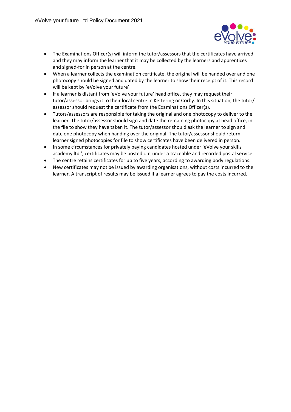

- The Examinations Officer(s) will inform the tutor/assessors that the certificates have arrived and they may inform the learner that it may be collected by the learners and apprentices and signed-for in person at the centre.
- When a learner collects the examination certificate, the original will be handed over and one photocopy should be signed and dated by the learner to show their receipt of it. This record will be kept by 'eVolve your future'.
- If a learner is distant from 'eVolve your future' head office, they may request their tutor/assessor brings it to their local centre in Kettering or Corby. In this situation, the tutor/ assessor should request the certificate from the Examinations Officer(s).
- Tutors/assessors are responsible for taking the original and one photocopy to deliver to the learner. The tutor/assessor should sign and date the remaining photocopy at head office, in the file to show they have taken it. The tutor/assessor should ask the learner to sign and date one photocopy when handing over the original. The tutor/assessor should return learner signed photocopies for file to show certificates have been delivered in person.
- In some circumstances for privately paying candidates hosted under 'eVolve your skills academy ltd.', certificates may be posted out under a traceable and recorded postal service.
- The centre retains certificates for up to five years, according to awarding body regulations.
- New certificates may not be issued by awarding organisations, without costs incurred to the learner. A transcript of results may be issued if a learner agrees to pay the costs incurred.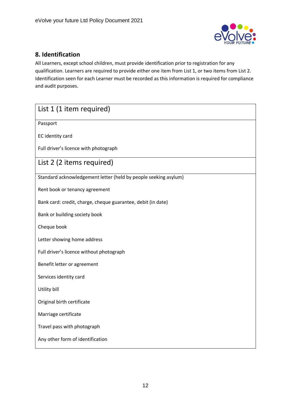

# <span id="page-12-0"></span>**8. Identification**

All Learners, except school children, must provide identification prior to registration for any qualification. Learners are required to provide either one item from List 1, or two items from List 2. Identification seen for each Learner must be recorded as this information is required for compliance and audit purposes.

| List 1 (1 item required)                                        |  |  |
|-----------------------------------------------------------------|--|--|
| Passport                                                        |  |  |
| EC identity card                                                |  |  |
| Full driver's licence with photograph                           |  |  |
| List 2 (2 items required)                                       |  |  |
| Standard acknowledgement letter (held by people seeking asylum) |  |  |
| Rent book or tenancy agreement                                  |  |  |
| Bank card: credit, charge, cheque guarantee, debit (in date)    |  |  |
| Bank or building society book                                   |  |  |
| Cheque book                                                     |  |  |
| Letter showing home address                                     |  |  |
| Full driver's licence without photograph                        |  |  |
| Benefit letter or agreement                                     |  |  |
| Services identity card                                          |  |  |
| Utility bill                                                    |  |  |
| Original birth certificate                                      |  |  |
| Marriage certificate                                            |  |  |
| Travel pass with photograph                                     |  |  |
| Any other form of identification                                |  |  |